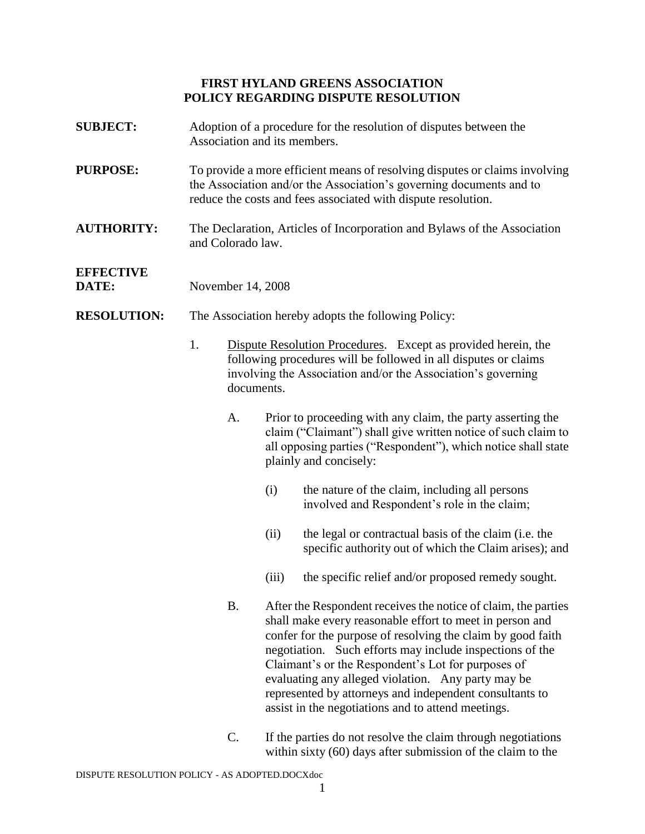## **FIRST HYLAND GREENS ASSOCIATION POLICY REGARDING DISPUTE RESOLUTION**

**SUBJECT:** Adoption of a procedure for the resolution of disputes between the

|                           | Association and its members.<br>To provide a more efficient means of resolving disputes or claims involving<br>the Association and/or the Association's governing documents and to<br>reduce the costs and fees associated with dispute resolution.                         |           |                                                                                                                                                                                                                         |                                                                                                                                                                                                                                                                                                                                                                                                                                                                                    |  |
|---------------------------|-----------------------------------------------------------------------------------------------------------------------------------------------------------------------------------------------------------------------------------------------------------------------------|-----------|-------------------------------------------------------------------------------------------------------------------------------------------------------------------------------------------------------------------------|------------------------------------------------------------------------------------------------------------------------------------------------------------------------------------------------------------------------------------------------------------------------------------------------------------------------------------------------------------------------------------------------------------------------------------------------------------------------------------|--|
| <b>PURPOSE:</b>           |                                                                                                                                                                                                                                                                             |           |                                                                                                                                                                                                                         |                                                                                                                                                                                                                                                                                                                                                                                                                                                                                    |  |
| <b>AUTHORITY:</b>         | The Declaration, Articles of Incorporation and Bylaws of the Association<br>and Colorado law.                                                                                                                                                                               |           |                                                                                                                                                                                                                         |                                                                                                                                                                                                                                                                                                                                                                                                                                                                                    |  |
| <b>EFFECTIVE</b><br>DATE: | November 14, 2008                                                                                                                                                                                                                                                           |           |                                                                                                                                                                                                                         |                                                                                                                                                                                                                                                                                                                                                                                                                                                                                    |  |
| <b>RESOLUTION:</b>        | The Association hereby adopts the following Policy:<br>1.<br>Dispute Resolution Procedures. Except as provided herein, the<br>following procedures will be followed in all disputes or claims<br>involving the Association and/or the Association's governing<br>documents. |           |                                                                                                                                                                                                                         |                                                                                                                                                                                                                                                                                                                                                                                                                                                                                    |  |
|                           |                                                                                                                                                                                                                                                                             |           |                                                                                                                                                                                                                         |                                                                                                                                                                                                                                                                                                                                                                                                                                                                                    |  |
|                           |                                                                                                                                                                                                                                                                             | A.        | Prior to proceeding with any claim, the party asserting the<br>claim ("Claimant") shall give written notice of such claim to<br>all opposing parties ("Respondent"), which notice shall state<br>plainly and concisely: |                                                                                                                                                                                                                                                                                                                                                                                                                                                                                    |  |
|                           |                                                                                                                                                                                                                                                                             |           | (i)                                                                                                                                                                                                                     | the nature of the claim, including all persons<br>involved and Respondent's role in the claim;                                                                                                                                                                                                                                                                                                                                                                                     |  |
|                           |                                                                                                                                                                                                                                                                             |           | (ii)                                                                                                                                                                                                                    | the legal or contractual basis of the claim (i.e. the<br>specific authority out of which the Claim arises); and                                                                                                                                                                                                                                                                                                                                                                    |  |
|                           |                                                                                                                                                                                                                                                                             |           | (iii)                                                                                                                                                                                                                   | the specific relief and/or proposed remedy sought.                                                                                                                                                                                                                                                                                                                                                                                                                                 |  |
|                           |                                                                                                                                                                                                                                                                             | <b>B.</b> |                                                                                                                                                                                                                         | After the Respondent receives the notice of claim, the parties<br>shall make every reasonable effort to meet in person and<br>confer for the purpose of resolving the claim by good faith<br>negotiation. Such efforts may include inspections of the<br>Claimant's or the Respondent's Lot for purposes of<br>evaluating any alleged violation. Any party may be<br>represented by attorneys and independent consultants to<br>assist in the negotiations and to attend meetings. |  |

C. If the parties do not resolve the claim through negotiations within sixty (60) days after submission of the claim to the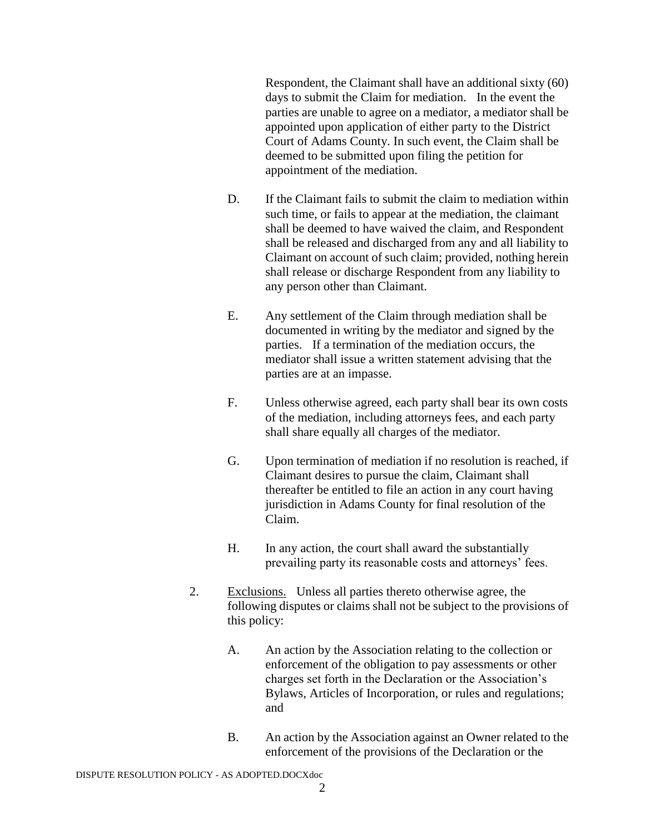Respondent, the Claimant shall have an additional sixty (60) days to submit the Claim for mediation. In the event the parties are unable to agree on a mediator, a mediator shall be appointed upon application of either party to the District Court of Adams County. In such event, the Claim shall be deemed to be submitted upon filing the petition for appointment of the mediation.

- D. If the Claimant fails to submit the claim to mediation within such time, or fails to appear at the mediation, the claimant shall be deemed to have waived the claim, and Respondent shall be released and discharged from any and all liability to Claimant on account of such claim; provided, nothing herein shall release or discharge Respondent from any liability to any person other than Claimant.
- E. Any settlement of the Claim through mediation shall be documented in writing by the mediator and signed by the parties. If a termination of the mediation occurs, the mediator shall issue a written statement advising that the parties are at an impasse.
- F. Unless otherwise agreed, each party shall bear its own costs of the mediation, including attorneys fees, and each party shall share equally all charges of the mediator.
- G. Upon termination of mediation if no resolution is reached, if Claimant desires to pursue the claim, Claimant shall thereafter be entitled to file an action in any court having jurisdiction in Adams County for final resolution of the Claim.
- H. In any action, the court shall award the substantially prevailing party its reasonable costs and attorneys' fees.
- 2. Exclusions. Unless all parties thereto otherwise agree, the following disputes or claims shall not be subject to the provisions of this policy:
	- A. An action by the Association relating to the collection or enforcement of the obligation to pay assessments or other charges set forth in the Declaration or the Association's Bylaws, Articles of Incorporation, or rules and regulations; and
	- B. An action by the Association against an Owner related to the enforcement of the provisions of the Declaration or the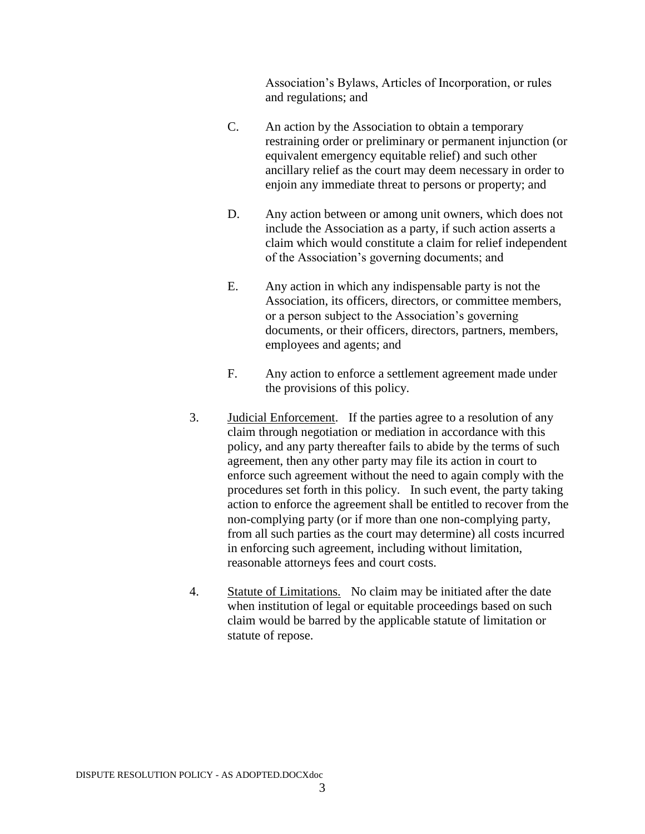Association's Bylaws, Articles of Incorporation, or rules and regulations; and

- C. An action by the Association to obtain a temporary restraining order or preliminary or permanent injunction (or equivalent emergency equitable relief) and such other ancillary relief as the court may deem necessary in order to enjoin any immediate threat to persons or property; and
- D. Any action between or among unit owners, which does not include the Association as a party, if such action asserts a claim which would constitute a claim for relief independent of the Association's governing documents; and
- E. Any action in which any indispensable party is not the Association, its officers, directors, or committee members, or a person subject to the Association's governing documents, or their officers, directors, partners, members, employees and agents; and
- F. Any action to enforce a settlement agreement made under the provisions of this policy.
- 3. Judicial Enforcement. If the parties agree to a resolution of any claim through negotiation or mediation in accordance with this policy, and any party thereafter fails to abide by the terms of such agreement, then any other party may file its action in court to enforce such agreement without the need to again comply with the procedures set forth in this policy. In such event, the party taking action to enforce the agreement shall be entitled to recover from the non-complying party (or if more than one non-complying party, from all such parties as the court may determine) all costs incurred in enforcing such agreement, including without limitation, reasonable attorneys fees and court costs.
- 4. Statute of Limitations. No claim may be initiated after the date when institution of legal or equitable proceedings based on such claim would be barred by the applicable statute of limitation or statute of repose.